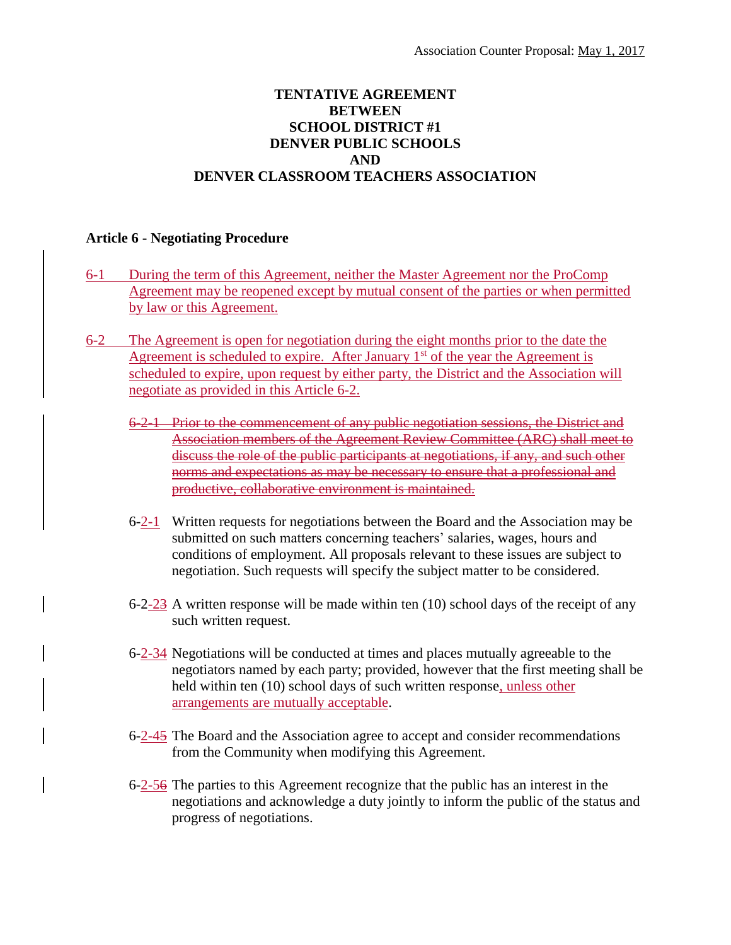## **TENTATIVE AGREEMENT BETWEEN SCHOOL DISTRICT #1 DENVER PUBLIC SCHOOLS AND DENVER CLASSROOM TEACHERS ASSOCIATION**

## **Article 6 - Negotiating Procedure**

- 6-1 During the term of this Agreement, neither the Master Agreement nor the ProComp Agreement may be reopened except by mutual consent of the parties or when permitted by law or this Agreement.
- 6-2 The Agreement is open for negotiation during the eight months prior to the date the Agreement is scheduled to expire. After January  $1<sup>st</sup>$  of the year the Agreement is scheduled to expire, upon request by either party, the District and the Association will negotiate as provided in this Article 6-2.
	- 6-2-1 Prior to the commencement of any public negotiation sessions, the District and Association members of the Agreement Review Committee (ARC) shall meet to discuss the role of the public participants at negotiations, if any, and such other norms and expectations as may be necessary to ensure that a professional and productive, collaborative environment is maintained.
	- 6-2-1 Written requests for negotiations between the Board and the Association may be submitted on such matters concerning teachers' salaries, wages, hours and conditions of employment. All proposals relevant to these issues are subject to negotiation. Such requests will specify the subject matter to be considered.
	- 6-2-23 A written response will be made within ten  $(10)$  school days of the receipt of any such written request.
	- 6-2-34 Negotiations will be conducted at times and places mutually agreeable to the negotiators named by each party; provided, however that the first meeting shall be held within ten (10) school days of such written response, unless other arrangements are mutually acceptable.
	- 6-2-45 The Board and the Association agree to accept and consider recommendations from the Community when modifying this Agreement.
	- 6-2-56 The parties to this Agreement recognize that the public has an interest in the negotiations and acknowledge a duty jointly to inform the public of the status and progress of negotiations.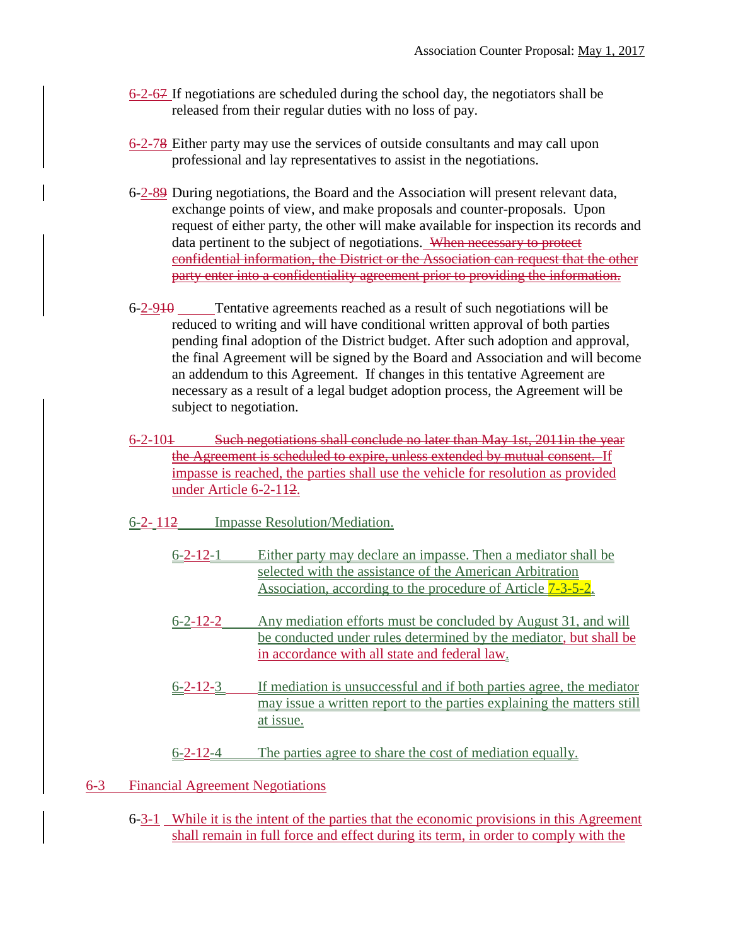- 6-2-67 If negotiations are scheduled during the school day, the negotiators shall be released from their regular duties with no loss of pay.
- 6-2-78 Either party may use the services of outside consultants and may call upon professional and lay representatives to assist in the negotiations.
- 6-2-89 During negotiations, the Board and the Association will present relevant data, exchange points of view, and make proposals and counter-proposals. Upon request of either party, the other will make available for inspection its records and data pertinent to the subject of negotiations. When necessary to protect confidential information, the District or the Association can request that the other party enter into a confidentiality agreement prior to providing the information.
- 6-2-910 Tentative agreements reached as a result of such negotiations will be reduced to writing and will have conditional written approval of both parties pending final adoption of the District budget. After such adoption and approval, the final Agreement will be signed by the Board and Association and will become an addendum to this Agreement. If changes in this tentative Agreement are necessary as a result of a legal budget adoption process, the Agreement will be subject to negotiation.
- 6-2-101 Such negotiations shall conclude no later than May 1st, 2011in the year the Agreement is scheduled to expire, unless extended by mutual consent. If impasse is reached, the parties shall use the vehicle for resolution as provided under Article 6-2-112.
- 6-2- 112 Impasse Resolution/Mediation.
	- 6-2-12-1 Either party may declare an impasse. Then a mediator shall be selected with the assistance of the American Arbitration Association, according to the procedure of Article 7-3-5-2.
	- 6-2-12-2 Any mediation efforts must be concluded by August 31, and will be conducted under rules determined by the mediator, but shall be in accordance with all state and federal law.
	- 6-2-12-3 If mediation is unsuccessful and if both parties agree, the mediator may issue a written report to the parties explaining the matters still at issue.
	- 6-2-12-4 The parties agree to share the cost of mediation equally.
- 6-3 Financial Agreement Negotiations
	- 6-3-1 While it is the intent of the parties that the economic provisions in this Agreement shall remain in full force and effect during its term, in order to comply with the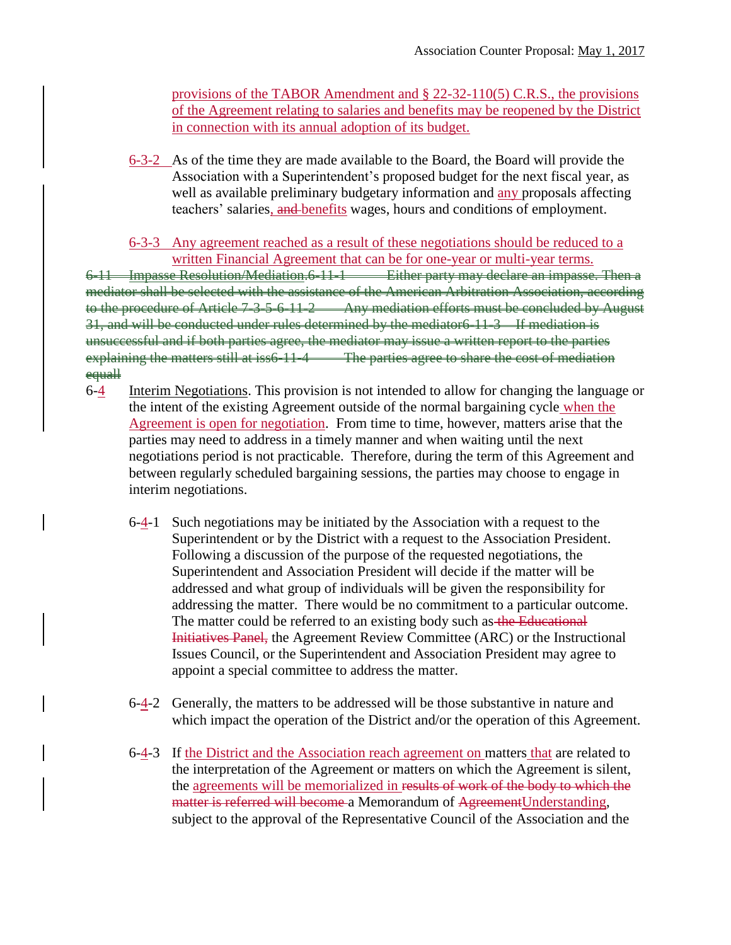provisions of the TABOR Amendment and § 22-32-110(5) C.R.S., the provisions of the Agreement relating to salaries and benefits may be reopened by the District in connection with its annual adoption of its budget.

6-3-2 As of the time they are made available to the Board, the Board will provide the Association with a Superintendent's proposed budget for the next fiscal year, as well as available preliminary budgetary information and any proposals affecting teachers' salaries, and benefits wages, hours and conditions of employment.

## 6-3-3 Any agreement reached as a result of these negotiations should be reduced to a written Financial Agreement that can be for one-year or multi-year terms.

6-11 Impasse Resolution/Mediation.6-11-1 Either party may declare an impasse. Then a mediator shall be selected with the assistance of the American Arbitration Association, according to the procedure of Article 7-3-5-6-11-2 Any mediation efforts must be concluded by August 31, and will be conducted under rules determined by the mediator6-11-3 If mediation is unsuccessful and if both parties agree, the mediator may issue a written report to the parties explaining the matters still at iss6-11-4 The parties agree to share the cost of mediation equall

- 6-4 Interim Negotiations. This provision is not intended to allow for changing the language or the intent of the existing Agreement outside of the normal bargaining cycle when the Agreement is open for negotiation. From time to time, however, matters arise that the parties may need to address in a timely manner and when waiting until the next negotiations period is not practicable. Therefore, during the term of this Agreement and between regularly scheduled bargaining sessions, the parties may choose to engage in interim negotiations.
	- 6-4-1 Such negotiations may be initiated by the Association with a request to the Superintendent or by the District with a request to the Association President. Following a discussion of the purpose of the requested negotiations, the Superintendent and Association President will decide if the matter will be addressed and what group of individuals will be given the responsibility for addressing the matter. There would be no commitment to a particular outcome. The matter could be referred to an existing body such as the Educational Initiatives Panel, the Agreement Review Committee (ARC) or the Instructional Issues Council, or the Superintendent and Association President may agree to appoint a special committee to address the matter.
	- 6-4-2 Generally, the matters to be addressed will be those substantive in nature and which impact the operation of the District and/or the operation of this Agreement.
	- 6-4-3 If the District and the Association reach agreement on matters that are related to the interpretation of the Agreement or matters on which the Agreement is silent, the agreements will be memorialized in results of work of the body to which the matter is referred will become a Memorandum of AgreementUnderstanding, subject to the approval of the Representative Council of the Association and the